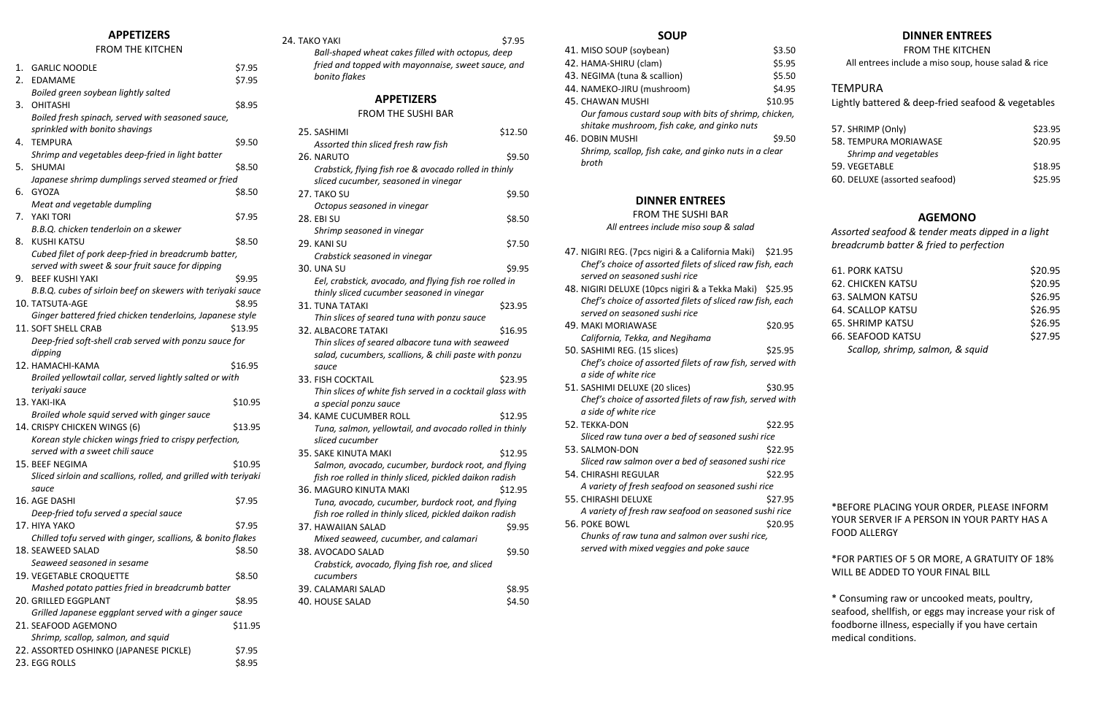#### **APPETIZERS**

#### FROM THE KITCHEN

| 1. | <b>GARLIC NOODLE</b>                                                     | \$7.95  |
|----|--------------------------------------------------------------------------|---------|
| 2. | <b>EDAMAME</b>                                                           | \$7.95  |
|    | Boiled green soybean lightly salted                                      |         |
| 3. | <b>OHITASHI</b>                                                          | \$8.95  |
|    | Boiled fresh spinach, served with seasoned sauce,                        |         |
|    | sprinkled with bonito shavings                                           |         |
| 4. | <b>TEMPURA</b>                                                           | \$9.50  |
|    | Shrimp and vegetables deep-fried in light batter                         |         |
| 5. | <b>SHUMAI</b>                                                            | \$8.50  |
|    | Japanese shrimp dumplings served steamed or fried                        |         |
| 6. | <b>GYOZA</b>                                                             | \$8.50  |
|    | Meat and vegetable dumpling                                              |         |
| 7. | YAKI TORI                                                                | \$7.95  |
|    | B.B.Q. chicken tenderloin on a skewer                                    |         |
| 8. | <b>KUSHI KATSU</b>                                                       | \$8.50  |
|    | Cubed filet of pork deep-fried in breadcrumb batter,                     |         |
|    | served with sweet & sour fruit sauce for dipping                         |         |
| 9. | <b>BEEF KUSHI YAKI</b>                                                   | \$9.95  |
|    | B.B.Q. cubes of sirloin beef on skewers with teriyaki sauce              |         |
|    | 10. TATSUTA-AGE                                                          | \$8.95  |
|    | Ginger battered fried chicken tenderloins, Japanese style                |         |
|    | 11. SOFT SHELL CRAB                                                      | \$13.95 |
|    | Deep-fried soft-shell crab served with ponzu sauce for                   |         |
|    | dipping                                                                  |         |
|    | 12. HAMACHI-KAMA                                                         | \$16.95 |
|    | Broiled yellowtail collar, served lightly salted or with                 |         |
|    | teriyaki sauce                                                           |         |
|    | 13. YAKI-IKA                                                             | \$10.95 |
|    | Broiled whole squid served with ginger sauce                             |         |
|    | 14. CRISPY CHICKEN WINGS (6)                                             | \$13.95 |
|    | Korean style chicken wings fried to crispy perfection,                   |         |
|    | served with a sweet chili sauce                                          |         |
|    | 15. BEEF NEGIMA                                                          | \$10.95 |
|    | Sliced sirloin and scallions, rolled, and grilled with teriyaki<br>sauce |         |
|    | 16. AGE DASHI                                                            | \$7.95  |
|    | Deep-fried tofu served a special sauce                                   |         |
|    | 17. HIYA YAKO                                                            | \$7.95  |
|    | Chilled tofu served with ginger, scallions, & bonito flakes              |         |
|    | 18. SEAWEED SALAD                                                        | \$8.50  |
|    | Seaweed seasoned in sesame                                               |         |
|    | 19. VEGETABLE CROQUETTE                                                  | \$8.50  |
|    | Mashed potato patties fried in breadcrumb batter                         |         |
|    | 20. GRILLED EGGPLANT                                                     | \$8.95  |
|    | Grilled Japanese eggplant served with a ginger sauce                     |         |
|    | 21. SEAFOOD AGEMONO                                                      | \$11.95 |
|    | Shrimp, scallop, salmon, and squid                                       |         |
|    | 22. ASSORTED OSHINKO (JAPANESE PICKLE)                                   | \$7.95  |
|    | 23. EGG ROLLS                                                            | \$8.95  |

#### 24. TAKO YAKI \$7.95

*Ball-shaped wheat cakes filled with octopus, deep fried and topped with mayonnaise, sweet sauce, and bonito flakes*

### **APPETIZERS**

#### FROM THE SUSHI BAR

| 25. SASHIMI                                               | \$12.50 |
|-----------------------------------------------------------|---------|
| Assorted thin sliced fresh raw fish                       |         |
| 26. NARUTO                                                | \$9.50  |
| Crabstick, flying fish roe & avocado rolled in thinly     |         |
| sliced cucumber, seasoned in vinegar                      |         |
| 27. TAKO SU                                               | \$9.50  |
| Octopus seasoned in vinegar                               |         |
| <b>28. EBI SU</b>                                         | \$8.50  |
| Shrimp seasoned in vinegar                                |         |
| 29. KANI SU                                               | \$7.50  |
| Crabstick seasoned in vinegar                             |         |
| <b>30. UNA SU</b>                                         | \$9.95  |
| Eel, crabstick, avocado, and flying fish roe rolled in    |         |
| thinly sliced cucumber seasoned in vinegar                |         |
| <b>31. TUNA TATAKI</b>                                    | \$23.95 |
| Thin slices of seared tuna with ponzu sauce               |         |
| <b>32. ALBACORE TATAKI</b>                                | \$16.95 |
| Thin slices of seared albacore tuna with seaweed          |         |
| salad, cucumbers, scallions, & chili paste with ponzu     |         |
| sauce                                                     |         |
| <b>33. FISH COCKTAIL</b>                                  | \$23.95 |
| Thin slices of white fish served in a cocktail glass with |         |
| a special ponzu sauce                                     |         |
| 34. KAME CUCUMBER ROLL                                    | \$12.95 |
| Tuna, salmon, yellowtail, and avocado rolled in thinly    |         |
| sliced cucumber                                           |         |
| <b>35. SAKE KINUTA MAKI</b>                               | \$12.95 |
| Salmon, avocado, cucumber, burdock root, and flying       |         |
| fish roe rolled in thinly sliced, pickled daikon radish   |         |
| 36. MAGURO KINUTA MAKI                                    | \$12.95 |
| Tuna, avocado, cucumber, burdock root, and flying         |         |
| fish roe rolled in thinly sliced, pickled daikon radish   |         |
| 37. HAWAIIAN SALAD                                        | \$9.95  |
| Mixed seaweed, cucumber, and calamari                     |         |
| 38. AVOCADO SALAD                                         | \$9.50  |
| Crabstick, avocado, flying fish roe, and sliced           |         |
| cucumbers                                                 |         |
| 39. CALAMARI SALAD                                        | \$8.95  |
| 40. HOUSE SALAD                                           | \$4.50  |

#### **SOUP**

| 41. MISO SOUP (soybean)                               | \$3.50  |
|-------------------------------------------------------|---------|
| 42. HAMA-SHIRU (clam)                                 | \$5.95  |
| 43. NEGIMA (tuna & scallion)                          | \$5.50  |
| 44. NAMEKO-JIRU (mushroom)                            | \$4.95  |
| 45. CHAWAN MUSHI                                      | \$10.95 |
| Our famous custard soup with bits of shrimp, chicken, |         |
| shitake mushroom, fish cake, and ginko nuts           |         |
| <b>46. DOBIN MUSHI</b>                                | \$9.50  |
| Shrimp, scallop, fish cake, and ginko nuts in a clear |         |
| hroth                                                 |         |
|                                                       |         |
|                                                       |         |

# **DINNER ENTREES**

# FROM THE SUSHI BAR

*All entrees include miso soup & salad*

- 47. NIGIRI REG. (7pcs nigiri & a California Maki) \$21.95 Chef's choice of assorted filets of sliced raw fish, each *served on seasoned sushi rice*
- 48. NIGIRI DELUXE (10pcs nigiri & a Tekka Maki) \$25.95 *Chef's choice of assorted filets of sliced raw fish, each served on seasoned sushi rice*
- 49. MAKI MORIAWASE \$20.95 *California, Tekka, and Negihama*
- 50. SASHIMI REG. (15 slices) \$25.95 *Chef's choice of assorted filets of raw fish, served with a side of white rice*
- 51. SASHIMI DELUXE (20 slices) \$30.95 *Chef's choice of assorted filets of raw fish, served with a side of white rice*
- 52. TEKKA-DON \$22.95 *Sliced raw tuna over a bed of seasoned sushi rice*
- 53. SALMON-DON \$22.95 *Sliced raw salmon over a bed of seasoned sushi rice* 54. CHIRASHI REGULAR \$22.95 *A variety of fresh seafood on seasoned sushi rice*
- 55. CHIRASHI DELUXE \$27.95 *A variety of fresh raw seafood on seasoned sushi rice*
- 56. POKE BOWL \$20.95

*Chunks of raw tuna and salmon over sushi rice, served with mixed veggies and poke sauce*

# **DINNER ENTREES**

FROM THE KITCHEN

All entrees include a miso soup, house salad & rice

# TEMPURA

Lightly battered & deep-fried seafood & vegetables

| 57. SHRIMP (Only)             | \$23.95 |
|-------------------------------|---------|
| 58. TEMPURA MORIAWASE         | \$20.95 |
| Shrimp and vegetables         |         |
| 59. VEGETABLE                 | \$18.95 |
| 60. DELUXE (assorted seafood) | \$25.95 |

# **AGEMONO**

*Assorted seafood & tender meats dipped in a light breadcrumb batter & fried to perfection*

| <b>61. PORK KATSU</b>            | \$20.95 |
|----------------------------------|---------|
| <b>62. CHICKEN KATSU</b>         | \$20.95 |
| <b>63. SALMON KATSU</b>          | \$26.95 |
| <b>64. SCALLOP KATSU</b>         | \$26.95 |
| <b>65. SHRIMP KATSU</b>          | \$26.95 |
| <b>66. SEAFOOD KATSU</b>         | \$27.95 |
| Scallop, shrimp, salmon, & squid |         |
|                                  |         |

\*BEFORE PLACING YOUR ORDER, PLEASE INFORM YOUR SERVER IF A PERSON IN YOUR PARTY HAS A FOOD ALLERGY

\*FOR PARTIES OF 5 OR MORE, A GRATUITY OF 18% WILL BE ADDED TO YOUR FINAL BILL

\* Consuming raw or uncooked meats, poultry, seafood, shellfish, or eggs may increase your risk of foodborne illness, especially if you have certain medical conditions.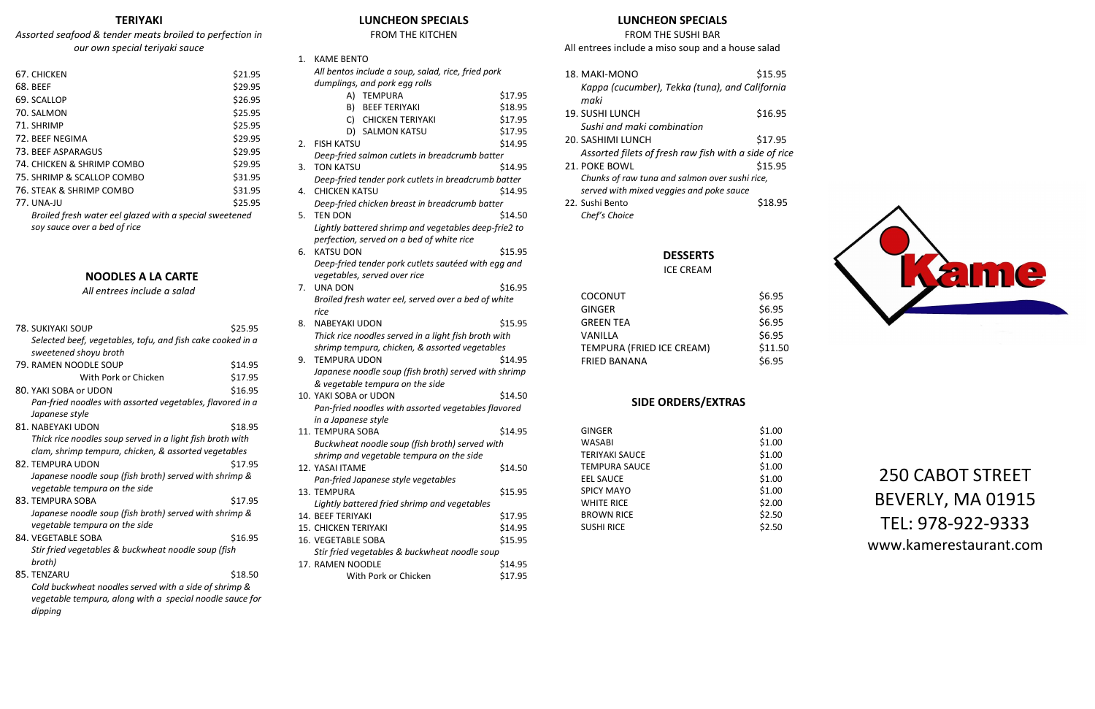# **TERIYAKI**

# *Assorted seafood & tender meats broiled to perfection in our own special teriyaki sauce*

| 67. CHICKEN                                             | \$21.95 |
|---------------------------------------------------------|---------|
| 68. BEEF                                                | \$29.95 |
| 69. SCALLOP                                             | \$26.95 |
| 70. SALMON                                              | \$25.95 |
| 71. SHRIMP                                              | \$25.95 |
| 72. BEEF NEGIMA                                         | \$29.95 |
| 73. BEEF ASPARAGUS                                      | \$29.95 |
| 74. CHICKEN & SHRIMP COMBO                              | \$29.95 |
| 75. SHRIMP & SCALLOP COMBO                              | \$31.95 |
| 76. STEAK & SHRIMP COMBO                                | \$31.95 |
| 77. UNA-JU                                              | \$25.95 |
| Broiled fresh water eel glazed with a special sweetened |         |
| soy sauce over a bed of rice                            |         |
|                                                         |         |

# **NOODLES A LA CARTE**

*All entrees include a salad*

| 78. SUKIYAKI SOUP                                                                       | \$25.95 |
|-----------------------------------------------------------------------------------------|---------|
| Selected beef, vegetables, tofu, and fish cake cooked in a                              |         |
| sweetened shoyu broth                                                                   |         |
| 79. RAMEN NOODLE SOUP                                                                   | \$14.95 |
| With Pork or Chicken                                                                    | \$17.95 |
| 80. YAKI SOBA or UDON                                                                   | \$16.95 |
| Pan-fried noodles with assorted vegetables, flavored in a                               |         |
| Japanese style                                                                          |         |
| 81. NABEYAKI UDON                                                                       | \$18.95 |
| Thick rice noodles soup served in a light fish broth with                               |         |
| clam, shrimp tempura, chicken, & assorted vegetables                                    |         |
| 82. TEMPURA UDON                                                                        | \$17.95 |
| Japanese noodle soup (fish broth) served with shrimp &                                  |         |
| vegetable tempura on the side                                                           |         |
| 83. TEMPURA SOBA                                                                        | \$17.95 |
| Japanese noodle soup (fish broth) served with shrimp &<br>vegetable tempura on the side |         |
| 84. VEGETABLE SOBA                                                                      | \$16.95 |
| Stir fried vegetables & buckwheat noodle soup (fish                                     |         |
| broth)                                                                                  |         |
| 85. TENZARU                                                                             | \$18.50 |
| Cold buckwheat noodles served with a side of shrimp &                                   |         |
| vegetable tempura, along with a special noodle sauce for<br>dipping                     |         |

# **LUNCHEON SPECIALS**

#### FROM THE KITCHEN

| 1. | <b>KAME BENTO</b>                                    |         |  |  |
|----|------------------------------------------------------|---------|--|--|
|    | All bentos include a soup, salad, rice, fried pork   |         |  |  |
|    | dumplings, and pork egg rolls                        |         |  |  |
|    | A)<br><b>TEMPURA</b>                                 | \$17.95 |  |  |
|    | B)<br><b>BEEF TERIYAKI</b>                           | \$18.95 |  |  |
|    | C)<br><b>CHICKEN TERIYAKI</b>                        | \$17.95 |  |  |
|    | D) SALMON KATSU                                      | \$17.95 |  |  |
| 2. | <b>FISH KATSU</b>                                    | \$14.95 |  |  |
|    | Deep-fried salmon cutlets in breadcrumb batter       |         |  |  |
| 3. | <b>TON KATSU</b>                                     | \$14.95 |  |  |
|    | Deep-fried tender pork cutlets in breadcrumb batter  |         |  |  |
| 4. | <b>CHICKEN KATSU</b>                                 | \$14.95 |  |  |
|    | Deep-fried chicken breast in breadcrumb batter       |         |  |  |
| 5. | <b>TEN DON</b>                                       | \$14.50 |  |  |
|    | Lightly battered shrimp and vegetables deep-frie2 to |         |  |  |
|    | perfection, served on a bed of white rice            |         |  |  |
| 6. | <b>KATSU DON</b>                                     | \$15.95 |  |  |
|    | Deep-fried tender pork cutlets sautéed with egg and  |         |  |  |
|    | vegetables, served over rice                         |         |  |  |
| 7. | <b>UNA DON</b>                                       | \$16.95 |  |  |
|    | Broiled fresh water eel, served over a bed of white  |         |  |  |
|    | rice                                                 |         |  |  |
| 8. | <b>NABEYAKI UDON</b>                                 | \$15.95 |  |  |
|    | Thick rice noodles served in a light fish broth with |         |  |  |
|    | shrimp tempura, chicken, & assorted vegetables       |         |  |  |
| 9. | <b>TEMPURA UDON</b>                                  | \$14.95 |  |  |
|    | Japanese noodle soup (fish broth) served with shrimp |         |  |  |
|    | & vegetable tempura on the side                      |         |  |  |
|    | 10. YAKI SOBA or UDON                                | \$14.50 |  |  |
|    | Pan-fried noodles with assorted vegetables flavored  |         |  |  |
|    | in a Japanese style                                  |         |  |  |
|    | 11. TEMPURA SOBA                                     | \$14.95 |  |  |
|    | Buckwheat noodle soup (fish broth) served with       |         |  |  |
|    | shrimp and vegetable tempura on the side             |         |  |  |
|    | 12. YASAI ITAME                                      | \$14.50 |  |  |
|    | Pan-fried Japanese style vegetables                  |         |  |  |
|    | 13. TEMPURA                                          | \$15.95 |  |  |
|    | Lightly battered fried shrimp and vegetables         |         |  |  |
|    | 14. BEEF TERIYAKI                                    | \$17.95 |  |  |
|    | 15. CHICKEN TERIYAKI                                 | \$14.95 |  |  |
|    | 16. VEGETABLE SOBA                                   | \$15.95 |  |  |
|    | Stir fried vegetables & buckwheat noodle soup        |         |  |  |
|    | 17. RAMEN NOODLE                                     | \$14.95 |  |  |
|    | With Pork or Chicken                                 | \$17.95 |  |  |

# **LUNCHEON SPECIALS**

FROM THE SUSHI BAR

All entrees include a miso soup and a house salad

| 18. MAKI-MONO                                         | \$15.95 |
|-------------------------------------------------------|---------|
| Kappa (cucumber), Tekka (tuna), and California        |         |
| maki                                                  |         |
| <b>19. SUSHI LUNCH</b>                                | \$16.95 |
| Sushi and maki combination                            |         |
| 20. SASHIMI LUNCH                                     | \$17.95 |
| Assorted filets of fresh raw fish with a side of rice |         |
| 21. POKE BOWL                                         | \$15.95 |
| Chunks of raw tuna and salmon over sushi rice,        |         |
| served with mixed veggies and poke sauce              |         |
| 22. Sushi Bento                                       | \$18.95 |
| Chef's Choice                                         |         |

# **DESSERTS**

ICE CREAM

| <b>COCONUT</b>            | \$6.95  |
|---------------------------|---------|
| <b>GINGER</b>             | \$6.95  |
| <b>GREEN TEA</b>          | \$6.95  |
| VANILLA                   | \$6.95  |
| TEMPURA (FRIED ICE CREAM) | \$11.50 |
| <b>FRIED BANANA</b>       | \$6.95  |
|                           |         |

# **SIDE ORDERS/EXTRAS**

| GINGER                | \$1.00 |
|-----------------------|--------|
| WASABI                | \$1.00 |
| <b>TERIYAKI SAUCE</b> | \$1.00 |
| <b>TEMPURA SAUCE</b>  | \$1.00 |
| <b>EEL SAUCE</b>      | \$1.00 |
| <b>SPICY MAYO</b>     | \$1.00 |
| <b>WHITE RICE</b>     | \$2.00 |
| <b>BROWN RICE</b>     | \$2.50 |
| <b>SUSHI RICE</b>     | \$2.50 |



# 250 CABOT STREET BEVERLY, MA 01915 TEL: 978-922-9333 www.kamerestaurant.com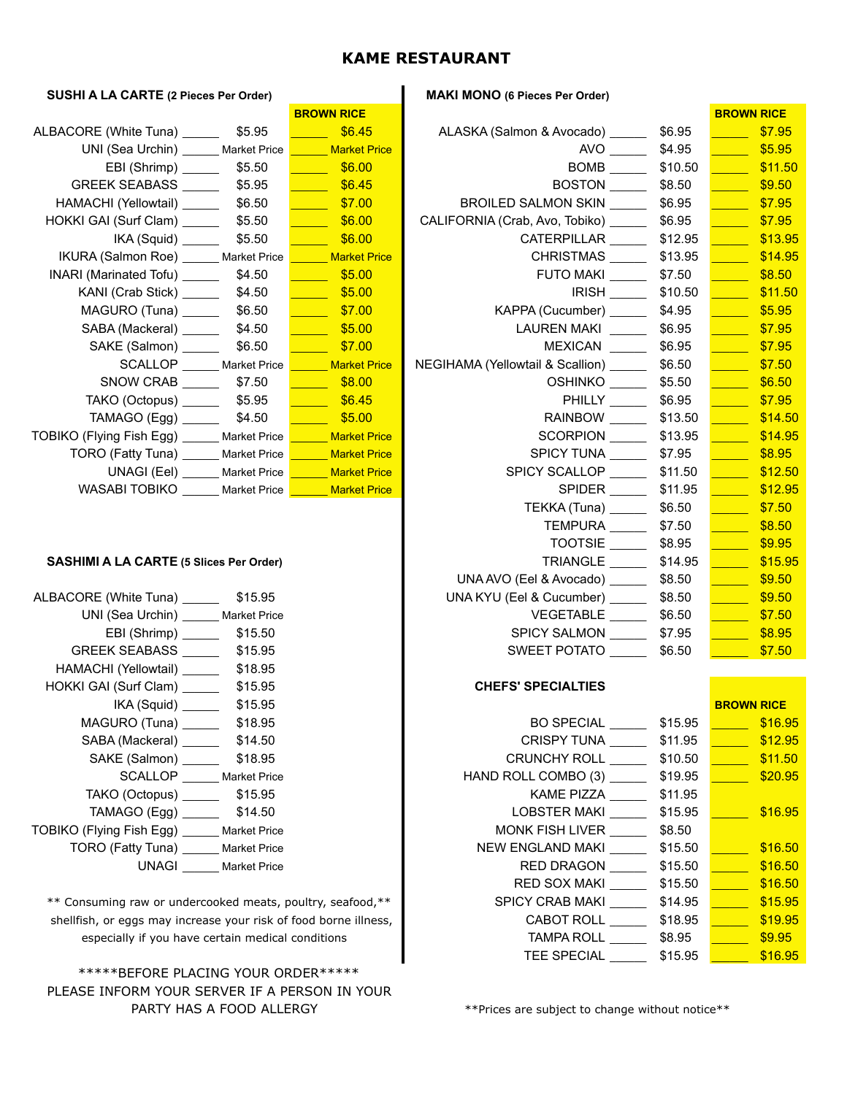#### **KAME RESTAURANT**

#### **SUSHI A LA CARTE (2 Pieces Per Order) MAKI MONO (6 Pieces Per Order)**

|                                                                  |                     | <b>BRUWN RICE</b>                         |                                                |                            | <b>BRUWN RICE</b>                |
|------------------------------------------------------------------|---------------------|-------------------------------------------|------------------------------------------------|----------------------------|----------------------------------|
| ALBACORE (White Tuna) 55.95                                      |                     | \$6.45                                    | ALASKA (Salmon & Avocado) ______               | \$6.95                     | \$7.95<br><b>Service Service</b> |
| UNI (Sea Urchin) ______ Market Price                             |                     | Market Price                              | AVO                                            | \$4.95                     | \$5.95                           |
|                                                                  |                     | \$6.00                                    | BOMB                                           | \$10.50                    | \$11.5                           |
| GREEK SEABASS ________ \$5.95                                    |                     | $\frac{1}{\sqrt{1-\frac{1}{2}}}\$ \$6.45  | <b>BOSTON</b>                                  | \$8.50                     | \$9.50                           |
| HAMACHI (Yellowtail) _______ \$6.50                              |                     |                                           | BROILED SALMON SKIN                            | \$6.95                     | \$7.95                           |
| HOKKI GAI (Surf Clam) 55.50                                      |                     | $\frac{1}{1000}$ \$6.00                   | CALIFORNIA (Crab, Avo, Tobiko) ________ \$6.95 |                            | \$7.95                           |
|                                                                  |                     | $\frac{\$6.00}{\$6.00}$                   | CATERPILLAR                                    | \$12.95                    | \$13.9                           |
| IKURA (Salmon Roe) Market Price                                  |                     | <b>Example 20 Market Price</b>            |                                                | CHRISTMAS ________ \$13.95 | \$14.9                           |
| INARI (Marinated Tofu) ________ \$4.50                           |                     | \$5.00                                    | <b>FUTO MAKI</b>                               | \$7.50                     | \$8.50                           |
|                                                                  |                     |                                           | <b>IRISH</b>                                   | \$10.50                    | \$11.5                           |
|                                                                  |                     | $\frac{1}{\sqrt{1-\frac{1}{2}}}\$ \$7.00  | KAPPA (Cucumber)                               | \$4.95                     | \$5.95                           |
|                                                                  |                     | $\frac{1}{\sqrt{1-\frac{1}{20}}}\$ \$5.00 | LAUREN MAKI                                    | \$6.95                     | \$7.95                           |
| SAKE (Salmon) \$6.50                                             |                     | \$7.00                                    | <b>MEXICAN</b>                                 | \$6.95                     | \$7.95                           |
| SCALLOP ______ Market Price                                      |                     | Market Price                              | NEGIHAMA (Yellowtail & Scallion) _____         | \$6.50                     | \$7.50                           |
| SNOW CRAB \$7.50                                                 |                     | \$8.00                                    | OSHINKO _____                                  | \$5.50                     | \$6.50                           |
|                                                                  |                     | \$6.45                                    | PHILLY _____                                   | \$6.95                     | \$7.95                           |
| TAMAGO (Egg) __________ \$4.50                                   |                     | \$5.00                                    | RAINBOW <u>______</u>                          | \$13.50                    | \$14.5                           |
| TOBIKO (Flying Fish Egg) ______ Market Price L                   |                     | <b>Example 20 Market Price</b>            | SCORPION ____                                  | \$13.95                    | \$14.9                           |
| TORO (Fatty Tuna) ______ Market Price <b>______ Market Price</b> |                     |                                           | SPICY TUNA                                     | \$7.95                     | \$8.95                           |
| $UNAGI$ (EeI) $\qquad \qquad$                                    | Market Price        | <b>Example 20 Market Price</b>            | SPICY SCALLOP                                  | \$11.50                    | \$12.5                           |
| WASABI TOBIKO                                                    | <b>Market Price</b> | <b>Market Price</b>                       | <b>SPIDER</b>                                  | \$11.95                    | \$12.9                           |

#### **SASHIMI A LA CARTE (5 Slices Per Order)**

| ALBACORE (White Tuna) \$15.95               | \$8.50<br>UNA KYU (Eel & Cucumber) |
|---------------------------------------------|------------------------------------|
| UNI (Sea Urchin) ______ Market Price        | VEGETABLE<br>\$6.50                |
|                                             | SPICY SALMON<br>\$7.95             |
|                                             | SWEET POTATO \$6.50                |
| HAMACHI (Yellowtail) ________ \$18.95       |                                    |
| HOKKI GAI (Surf Clam) \$15.95               | <b>CHEFS' SPECIALTIES</b>          |
|                                             |                                    |
|                                             | \$15.9<br>BO SPECIAL               |
| SABA (Mackeral) ________ \$14.50            | CRISPY TUNA \$11.9                 |
| SAKE (Salmon) ________ \$18.95              | CRUNCHY ROLL _______ \$10.5        |
| SCALLOP Market Price                        | \$19.9<br>HAND ROLL COMBO (3)      |
| TAKO (Octopus) \$15.95                      | KAME PIZZA \$11.9                  |
| $TAMAGO (Egg)$ \$14.50                      | \$15.9<br>LOBSTER MAKI             |
| TOBIKO (Flying Fish Egg) _____ Market Price | MONK FISH LIVER<br>\$8.50          |
| TORO (Fatty Tuna) ______ Market Price       | NEW ENGLAND MAKI ______ \$15.5     |
| <b>UNAGI</b><br><b>Market Price</b>         | RED DRAGON<br>\$15.5               |

\*\* Consuming raw or undercooked meats, poultry, seafood, \*\* shellfish, or eggs may increase your risk of food borne illness, especially if you have certain medical conditions

#### \*\*\*\*\*BEFORE PLACING YOUR ORDER\*\*\*\*\* PLEASE INFORM YOUR SERVER IF A PERSON IN YOUR PARTY HAS A FOOD ALLERGY **\*\*** Prices are subject to change without notice\*\*

|                                                                               |         | <b>BROWN RICE</b>                                      |                                                      |                              | <b>BROWN RICE</b>                        |
|-------------------------------------------------------------------------------|---------|--------------------------------------------------------|------------------------------------------------------|------------------------------|------------------------------------------|
| ALBACORE (White Tuna) \$5.95                                                  |         | \$6.45                                                 | ALASKA (Salmon & Avocado) ________ \$6.95            |                              |                                          |
| UNI (Sea Urchin) ______ Market Price <b>______ Market Price</b>               |         |                                                        |                                                      | AVO \$4.95                   | $\frac{1}{\sqrt{1-\frac{1}{2}}}\$ \$5.95 |
| EBI (Shrimp) ________ \$5.50                                                  |         |                                                        |                                                      |                              |                                          |
| GREEK SEABASS ________ \$5.95                                                 |         | $\frac{1}{\sqrt{1-\frac{1}{2}}}\$ \$6.45               |                                                      | BOSTON \$8.50                | $\frac{\sqrt{9.50}}{200}$                |
| HAMACHI (Yellowtail) ________ \$6.50                                          |         | $\frac{1}{2}$ \$7.00                                   | BROILED SALMON SKIN ________ \$6.95                  |                              |                                          |
| HOKKI GAI (Surf Clam) _________ \$5.50 ________ \$6.00                        |         |                                                        | CALIFORNIA (Crab, Avo, Tobiko) ________ \$6.95       |                              | $\frac{\text{S7.95}}{2}$                 |
| IKA (Squid) ________ \$5.50                                                   |         | $\frac{1}{1}$ \$6.00                                   |                                                      | CATERPILLAR ________ \$12.95 |                                          |
| IKURA (Salmon Roe) ______ Market Price <b>______ Market Price</b>             |         |                                                        |                                                      | CHRISTMAS ________ \$13.95   |                                          |
| INARI (Marinated Tofu) ________ \$4.50                                        |         | $\frac{1}{1}$ \$5.00                                   |                                                      | <b>FUTO MAKI</b> \$7.50      | $\frac{\$8.50}{\$8.50}$                  |
| KANI (Crab Stick) _________ \$4.50                                            |         | $\frac{1}{\sqrt{1-\frac{1}{2}}}\$ \$5.00               |                                                      | IRISH ________ \$10.50       |                                          |
| MAGURO (Tuna) ________ \$6.50                                                 |         | $\frac{1}{\sqrt{1-\frac{1}{2}}}\sqrt{1-\frac{1}{2}}$   | KAPPA (Cucumber) _________ \$4.95                    |                              | $\frac{\sqrt{35.95}}{200}$               |
| SABA (Mackeral) ________ \$4.50                                               |         | $\frac{1}{\sqrt{1-\frac{1}{2}}}\$ \$5.00               | LAUREN MAKI _______ \$6.95                           |                              | $\frac{1}{2}$ \$7.95                     |
| SAKE (Salmon) ________ \$6.50                                                 |         | $\frac{1}{\sqrt{1-\frac{1}{2}}}\sqrt{37.00}$           |                                                      | MEXICAN \$6.95               | $\frac{1}{2}$ \$7.95                     |
|                                                                               |         | SCALLOP ______ Market Price <b>______ Market Price</b> | NEGIHAMA (Yellowtail & Scallion) _______ \$6.50      |                              |                                          |
|                                                                               |         |                                                        |                                                      | OSHINKO \$5.50               | $\frac{1}{1}$ \$6.50                     |
|                                                                               |         | $\frac{\sqrt{36.45}}{200}$                             |                                                      | PHILLY _______ \$6.95        | $\overline{\text{37.95}}$                |
|                                                                               |         |                                                        |                                                      | RAINBOW _________ \$13.50    | $\frac{\$14.50}{\$}$                     |
| TOBIKO (Flying Fish Egg) ______ Market Price <mark>______ Market Price</mark> |         |                                                        |                                                      | SCORPION \$13.95             | $\overline{\text{}}$ \$14.95             |
| TORO (Fatty Tuna) ______ Market Price                                         |         | Market Price                                           |                                                      | SPICY TUNA _________ \$7.95  | $\frac{1}{1}$ \$8.95                     |
|                                                                               |         | UNAGI (Eel) ______ Market Price ______ Market Price    | SPICY SCALLOP _______ \$11.50 <u>_______ \$12.50</u> |                              |                                          |
| WASABI TOBIKO ______ Market Price <b>______ Market Price</b>                  |         |                                                        |                                                      | SPIDER _______ \$11.95       | \$12.95                                  |
|                                                                               |         |                                                        |                                                      | TEKKA (Tuna) ________ \$6.50 | $\frac{1}{1}$ \$7.50                     |
|                                                                               |         |                                                        |                                                      | TEMPURA ________ \$7.50      | $\overline{\hspace{1.5cm} }$ \$8.50      |
|                                                                               |         |                                                        |                                                      | TOOTSIE \$8.95               | $\frac{\$9.95}{\$9.95}$                  |
| <b>SASHIMI A LA CARTE (5 Slices Per Order)</b>                                |         |                                                        |                                                      | TRIANGLE ________ \$14.95    | $\frac{1}{1}$ \$15.95                    |
|                                                                               |         |                                                        | UNA AVO (Eel & Avocado) \$8.50                       |                              | $\frac{1}{1000}$ \$9.50                  |
| ALBACORE (White Tuna) _______ \$15.95                                         |         |                                                        | UNA KYU (Eel & Cucumber) _______ \$8.50              |                              | $\frac{\$9.50}{\$9.50}$                  |
| UNI (Sea Urchin) ______ Market Price                                          |         |                                                        |                                                      | VEGETABLE _________ \$6.50   | $\frac{1}{\sqrt{25}}$ \$7.50             |
| EBI (Shrimp) ________ \$15.50                                                 |         |                                                        | SPICY SALMON \$7.95                                  |                              | \$8.95                                   |
| GREEK SEABASS _____                                                           | \$15.95 |                                                        | SWEET POTATO ______                                  | \$6.50                       | \$7.50                                   |

#### **CHEFS' SPECIALTIES**

| \$15.95<br>IKA (Squid)                                        |                     |         | <b>BROWN RICE</b> |
|---------------------------------------------------------------|---------------------|---------|-------------------|
| \$18.95<br>MAGURO (Tuna)                                      | <b>BO SPECIAL</b>   | \$15.95 | \$16.95           |
| SABA (Mackeral)<br>\$14.50                                    | CRISPY TUNA         | \$11.95 | \$12.95           |
| SAKE (Salmon)<br>\$18.95                                      | CRUNCHY ROLL        | \$10.50 | \$11.50           |
| SCALLOP<br><b>Market Price</b>                                | HAND ROLL COMBO (3) | \$19.95 | \$20.95           |
| TAKO (Octopus)<br>\$15.95                                     | KAME PIZZA          | \$11.95 |                   |
| TAMAGO (Egg) _<br>\$14.50                                     | LOBSTER MAKI        | \$15.95 | \$16.95           |
| O (Flying Fish Egg) _<br><b>Market Price</b>                  | MONK FISH LIVER     | \$8.50  |                   |
| TORO (Fatty Tuna)<br><b>Market Price</b>                      | NEW ENGLAND MAKI    | \$15.50 | \$16.50           |
| <b>UNAGI</b><br><b>Market Price</b>                           | <b>RED DRAGON</b>   | \$15.50 | \$16.50           |
|                                                               | RED SOX MAKI        | \$15.50 | \$16.50           |
| `onsuming raw or undercooked meats, poultry, seafood,**       | SPICY CRAB MAKI     | \$14.95 | \$15.95           |
| llfish, or eggs may increase your risk of food borne illness, | CABOT ROLL          | \$18.95 | \$19.95           |
| especially if you have certain medical conditions             | TAMPA ROLL          | \$8.95  | \$9.95            |
|                                                               | <b>TEE SPECIAL</b>  | \$15.95 | \$16.95           |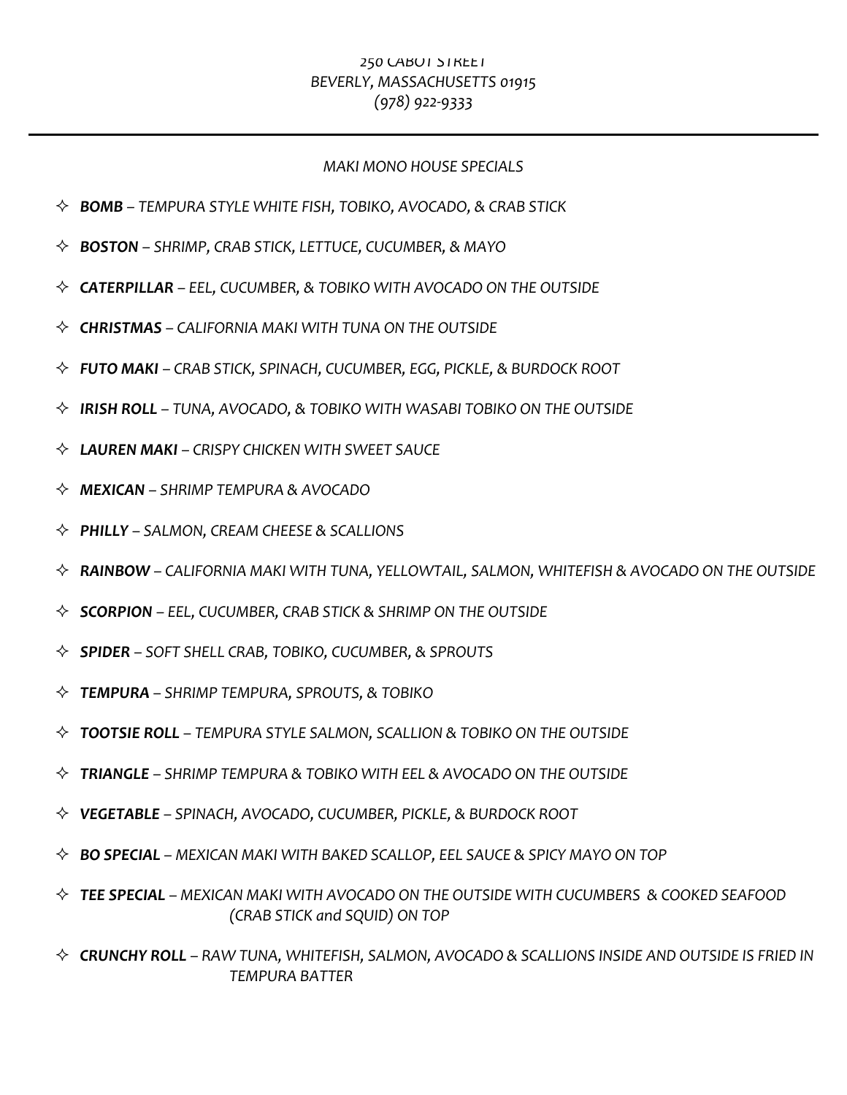# *250%CABOT%STREET* BEVERLY, MASSACHUSETTS 01915 *(978)%922<9333*

### *MAKI%MONO%HOUSE%SPECIALS*

- ! *BOMB – TEMPURA%STYLE%WHITE%FISH,%TOBIKO,%AVOCADO,%&%CRAB%STICK*
- ! *BOSTON – SHRIMP,%CRAB%STICK,%LETTUCE,%CUCUMBER,%&%MAYO*
- ! *CATERPILLAR – EEL,%CUCUMBER,%&%TOBIKO%WITH%AVOCADO%ON%THE%OUTSIDE*
- ! *CHRISTMAS – CALIFORNIA%MAKI%WITH%TUNA%ON%THE%OUTSIDE*
- ! *FUTO1MAKI – CRAB%STICK,%SPINACH,%CUCUMBER,%EGG,%PICKLE,%&%BURDOCK%ROOT*
- $\Diamond$  **IRISH ROLL** TUNA, AVOCADO, & TOBIKO WITH WASABI TOBIKO ON THE OUTSIDE
- $\Diamond$  **LAUREN MAKI** CRISPY CHICKEN WITH SWEET SAUCE
- ! *MEXICAN – SHRIMP%TEMPURA%&%AVOCADO*
- ! *PHILLY1– SALMON, CREAM%CHEESE%&%SCALLIONS*
- $\lozenge$  **RAINBOW** CALIFORNIA MAKI WITH TUNA, YELLOWTAIL, SALMON, WHITEFISH & AVOCADO ON THE OUTSIDE
- $\Diamond$  **SCORPION** EEL, CUCUMBER, CRAB STICK & SHRIMP ON THE OUTSIDE
- ! *SPIDER – SOFT%SHELL%CRAB,%TOBIKO,%CUCUMBER,%&%SPROUTS*
- ! *TEMPURA – SHRIMP%TEMPURA,%SPROUTS,%&%TOBIKO*
- $\Diamond$  **TOOTSIE ROLL** TEMPURA STYLE SALMON, SCALLION & TOBIKO ON THE OUTSIDE
- $\div$  **TRIANGLE** SHRIMP TEMPURA & TOBIKO WITH EEL & AVOCADO ON THE OUTSIDE
- ! *VEGETABLE – SPINACH,%AVOCADO,%CUCUMBER, PICKLE,%&%BURDOCK%ROOT*
- $\div$  **BO SPECIAL** MEXICAN MAKI WITH BAKED SCALLOP, EEL SAUCE & SPICY MAYO ON TOP
- $\lozenge$  **TEE SPECIAL** MEXICAN MAKI WITH AVOCADO ON THE OUTSIDE WITH CUCUMBERS & COOKED SEAFOOD *(CRAB%STICK%and%SQUID)%ON%TOP*
- $\diamond$  **CRUNCHY ROLL** RAW TUNA, WHITEFISH, SALMON, AVOCADO & SCALLIONS INSIDE AND OUTSIDE IS FRIED IN *TEMPURA%BATTER*